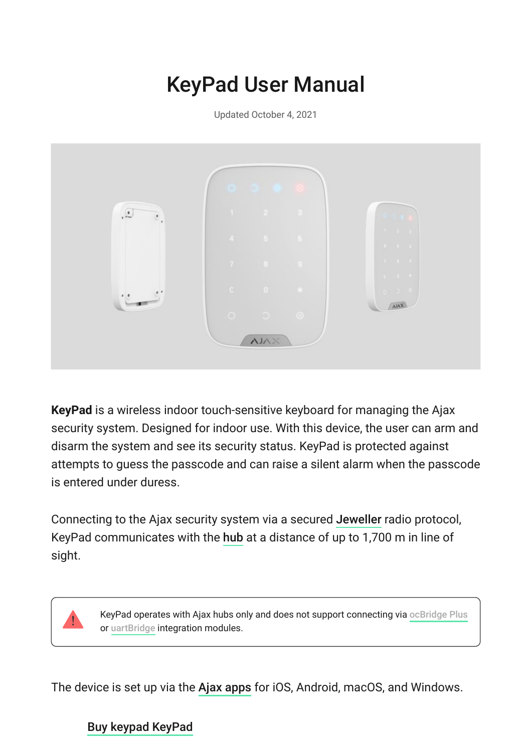# KeyPad User Manual

Updated October 4, 2021



**KeyPad** is a wireless indoor touch-sensitive keyboard for managing the Ajax security system. Designed for indoor use. With this device, the user can arm and disarm the system and see its security status. KeyPad is protected against attempts to guess the passcode and can raise a silent alarm when the passcode is entered under duress.

Connectingto the Ajax security system via a secured Jeweller radio protocol, KeyPad communicates with the hub at a distance of up to 1,700 m in line of sight.



KeyPad operates with Ajax hubs only and does not support connecting via [ocBridge Plus](https://ajax.systems/products/ocbridgeplus/) or uartBridge integration modules.

The device is set up via the Ajax apps for iOS, Android, macOS, and Windows.

#### [Buy keypad KeyPad](https://ajax.systems/products/keypad/)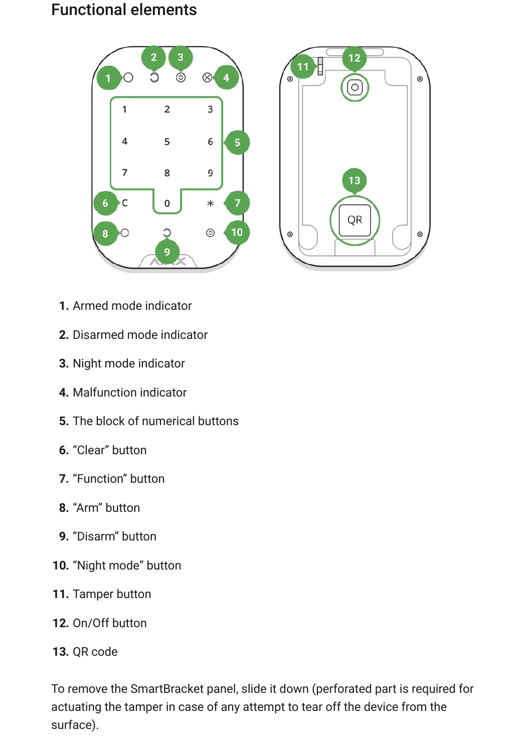#### Functional elements





- **1.** Armed mode indicator
- **2.** Disarmed mode indicator
- **3.** Night mode indicator
- **4.** Malfunction indicator
- **5.** The block of numerical buttons
- **6.** "Clear" button
- **7.** "Function" button
- **8.** "Arm" button
- **9.** "Disarm" button
- **10.** "Night mode" button
- **11.** Tamper button
- **12.** On/Off button
- **13.** QR code

To remove the SmartBracket panel, slide it down (perforated part is required for actuating the tamper in case of any attempt to tear off the device from the surface).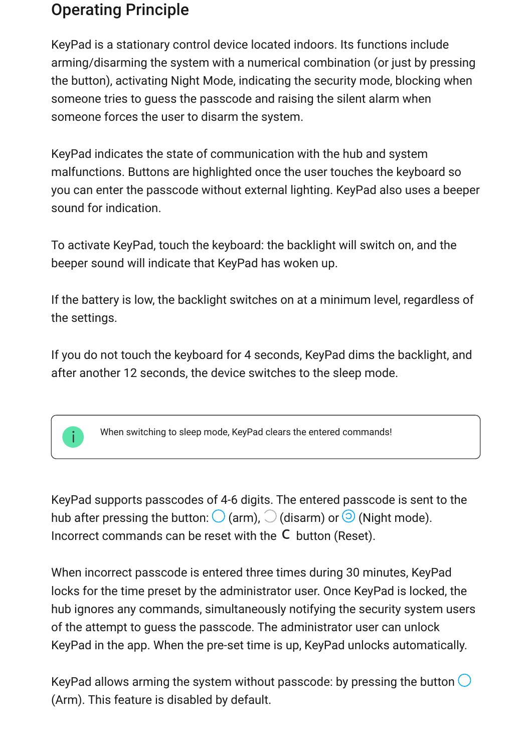### Operating Principle

KeyPad is a stationary control device located indoors. Its functions include arming/disarming the system with a numerical combination (or just by pressing the button), activating Night Mode, indicating the security mode, blocking when someone tries to guess the passcode and raising the silent alarm when someone forces the user to disarm the system.

KeyPad indicates the state of communication with the hub and system malfunctions. Buttons are highlighted once the user touches the keyboard so you can enter the passcode without external lighting. KeyPad also uses a beeper sound for indication.

To activate KeyPad, touch the keyboard: the backlight will switch on, and the beeper sound will indicate that KeyPad has woken up.

If the battery is low, the backlight switches on at a minimum level, regardless of the settings.

If you do not touch the keyboard for 4 seconds, KeyPad dims the backlight, and after another 12 seconds, the device switches to the sleep mode.

When switching to sleep mode, KeyPad clears the entered commands!

KeyPad supports passcodes of 4-6 digits. The entered passcode is sent to the hub after pressing the button:  $\bigcirc$  (arm),  $\bigcirc$  (disarm) or  $\bigcirc$  (Night mode). Incorrect commands can be reset with the  $C$  button (Reset).

When incorrect passcode is entered three times during 30 minutes, KeyPad locks for the time preset by the administrator user. Once KeyPad is locked, the hub ignores any commands, simultaneously notifying the security system users of the attempt to guess the passcode. The administrator user can unlock KeyPad in the app. When the pre-set time is up, KeyPad unlocks automatically.

KeyPad allows arming the system without passcode: by pressing the button  $\bigcirc$ (Arm). This feature is disabled by default.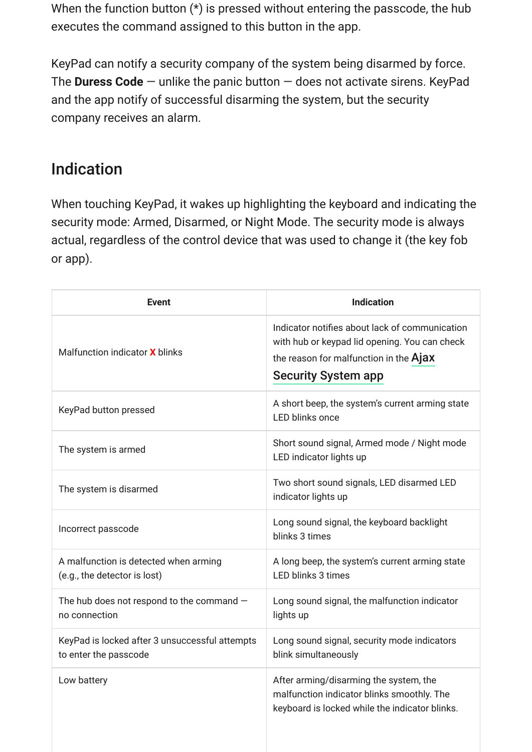When the function button (\*) is pressed without entering the passcode, the hub executes the command assigned to this button in the app.

KeyPad can notify a security company of the system being disarmed by force. The **Duress Code** — unlike the panic button — does not activate sirens. KeyPad and the app notify of successful disarming the system, but the security company receives an alarm.

### Indication

When touching KeyPad, it wakes up highlighting the keyboard and indicating the security mode: Armed, Disarmed, or Night Mode. The security mode is always actual, regardless of the control device that was used to change it (the key fob or app).

| <b>Event</b>                                                            | <b>Indication</b>                                                                                                                                                       |
|-------------------------------------------------------------------------|-------------------------------------------------------------------------------------------------------------------------------------------------------------------------|
| Malfunction indicator <b>X</b> blinks                                   | Indicator notifies about lack of communication<br>with hub or keypad lid opening. You can check<br>the reason for malfunction in the Ajax<br><b>Security System app</b> |
| KeyPad button pressed                                                   | A short beep, the system's current arming state<br><b>LED blinks once</b>                                                                                               |
| The system is armed                                                     | Short sound signal, Armed mode / Night mode<br>LED indicator lights up                                                                                                  |
| The system is disarmed                                                  | Two short sound signals, LED disarmed LED<br>indicator lights up                                                                                                        |
| Incorrect passcode                                                      | Long sound signal, the keyboard backlight<br>blinks 3 times                                                                                                             |
| A malfunction is detected when arming<br>(e.g., the detector is lost)   | A long beep, the system's current arming state<br>LED blinks 3 times                                                                                                    |
| The hub does not respond to the command $-$<br>no connection            | Long sound signal, the malfunction indicator<br>lights up                                                                                                               |
| KeyPad is locked after 3 unsuccessful attempts<br>to enter the passcode | Long sound signal, security mode indicators<br>blink simultaneously                                                                                                     |
| Low battery                                                             | After arming/disarming the system, the<br>malfunction indicator blinks smoothly. The<br>keyboard is locked while the indicator blinks.                                  |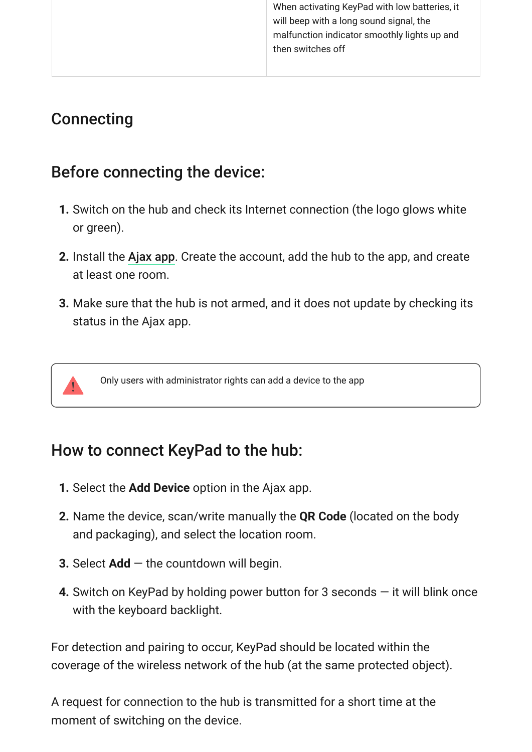When activating KeyPad with low batteries, it will beep with a long sound signal, the malfunction indicator smoothly lights up and then switches off

### **Connecting**

### Before connecting the device:

- **1.** Switch on the hub and check its Internet connection (the logo glows white or green).
- **2.** Install the Ajax app. Create the account, add the hub to the app, and create at least one room.
- **3.** Make sure that the hub is not armed, and it does not update by checking its status in the Ajax app.

Only users with administrator rights can add a device to the app

### How to connect KeyPad to the hub:

- **1.** Select the **Add Device** option in the Ajax app.
- **2.** Name the device, scan/write manually the **QR Code** (located on the body and packaging), and select the location room.
- **3.** Select **Add** the countdown will begin.
- **4.** Switch on KeyPad by holding power button for 3 seconds it will blink once with the keyboard backlight.

For detection and pairing to occur, KeyPad should be located within the coverage of the wireless network of the hub (at the same protected object).

A request for connection to the hub is transmitted for a short time at the moment of switching on the device.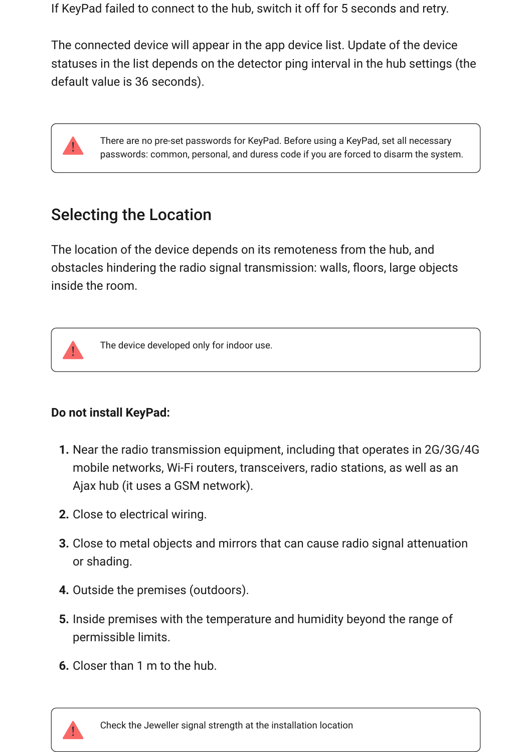If KeyPad failed to connect to the hub, switch it off for 5 seconds and retry.

The connected device will appear in the app device list. Update of the device statuses in the list depends on the detector ping interval in the hub settings (the default value is 36 seconds).

> There are no pre-set passwords for KeyPad. Before using a KeyPad, set all necessary passwords: common, personal, and duress code if you are forced to disarm the system.

# Selecting the Location

The location of the device depends on its remoteness from the hub, and obstacles hindering the radio signal transmission: walls, floors, large objects inside the room.



The device developed only for indoor use.

#### **Do not install KeyPad:**

- **1.** Near the radio transmission equipment, including that operates in 2G/3G/4G mobile networks, Wi-Fi routers, transceivers, radio stations, as well as an Ajax hub (it uses a GSM network).
- **2.** Close to electrical wiring.
- **3.** Close to metal objects and mirrors that can cause radio signal attenuation or shading.
- **4.** Outside the premises (outdoors).
- **5.** Inside premises with the temperature and humidity beyond the range of permissible limits.
- **6.** Closer than 1 m to the hub.

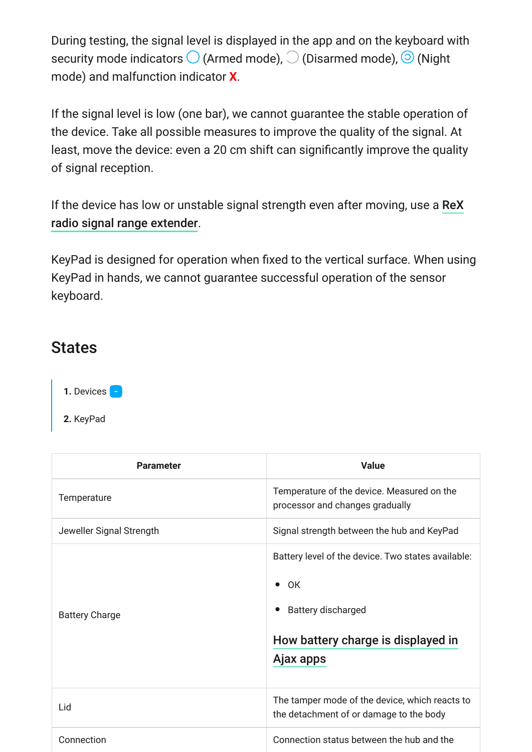During testing, the signal level is displayed in the app and on the keyboard with security mode indicators  $\bigcirc$  (Armed mode),  $\bigcirc$  (Disarmed mode),  $\bigcirc$  (Night mode) and malfunction indicator **X**.

If the signal level is low (one bar), we cannot guarantee the stable operation of the device. Take all possible measures to improve the quality of the signal. At least, move the device: even a 20 cm shift can significantly improve the quality of signal reception.

[If the device has low or unstable signal strength even after moving, use a](https://ajax.systems/products/rex/) ReX . radio signal range extender

KeyPad is designed for operation when fixed to the vertical surface. When using KeyPad in hands, we cannot guarantee successful operation of the sensor keyboard.

#### **States**

1. Devices -

**2.** KeyPad

| <b>Parameter</b>         | <b>Value</b>                                                                                                                                          |
|--------------------------|-------------------------------------------------------------------------------------------------------------------------------------------------------|
| Temperature              | Temperature of the device. Measured on the<br>processor and changes gradually                                                                         |
| Jeweller Signal Strength | Signal strength between the hub and KeyPad                                                                                                            |
| <b>Battery Charge</b>    | Battery level of the device. Two states available:<br>0K<br>$\bullet$<br><b>Battery discharged</b><br>How battery charge is displayed in<br>Ajax apps |
| Lid                      | The tamper mode of the device, which reacts to<br>the detachment of or damage to the body                                                             |
| Connection               | Connection status between the hub and the                                                                                                             |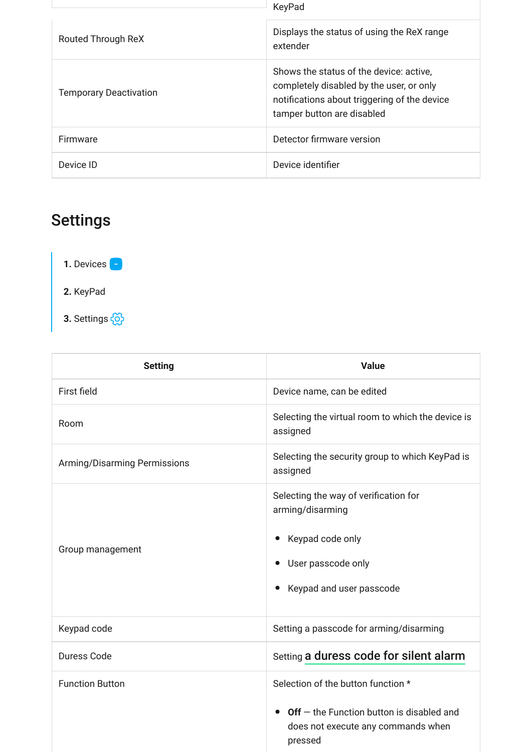|                               | KeyPad                                                                                                                                                            |
|-------------------------------|-------------------------------------------------------------------------------------------------------------------------------------------------------------------|
| Routed Through ReX            | Displays the status of using the ReX range<br>extender                                                                                                            |
| <b>Temporary Deactivation</b> | Shows the status of the device: active,<br>completely disabled by the user, or only<br>notifications about triggering of the device<br>tamper button are disabled |
| Firmware                      | Detector firmware version                                                                                                                                         |
| Device ID                     | Device identifier                                                                                                                                                 |

# Settings

**1.** Devices **2.** KeyPad

**3.** Settings

| <b>Setting</b>               | <b>Value</b>                                                                                                                                              |
|------------------------------|-----------------------------------------------------------------------------------------------------------------------------------------------------------|
| First field                  | Device name, can be edited                                                                                                                                |
| Room                         | Selecting the virtual room to which the device is<br>assigned                                                                                             |
| Arming/Disarming Permissions | Selecting the security group to which KeyPad is<br>assigned                                                                                               |
| Group management             | Selecting the way of verification for<br>arming/disarming<br>Keypad code only<br>$\bullet$<br>User passcode only<br>Keypad and user passcode<br>$\bullet$ |
| Keypad code                  | Setting a passcode for arming/disarming                                                                                                                   |
| Duress Code                  | Setting a duress code for silent alarm                                                                                                                    |
| <b>Function Button</b>       | Selection of the button function *<br>$Off$ – the Function button is disabled and<br>$\bullet$<br>does not execute any commands when<br>pressed           |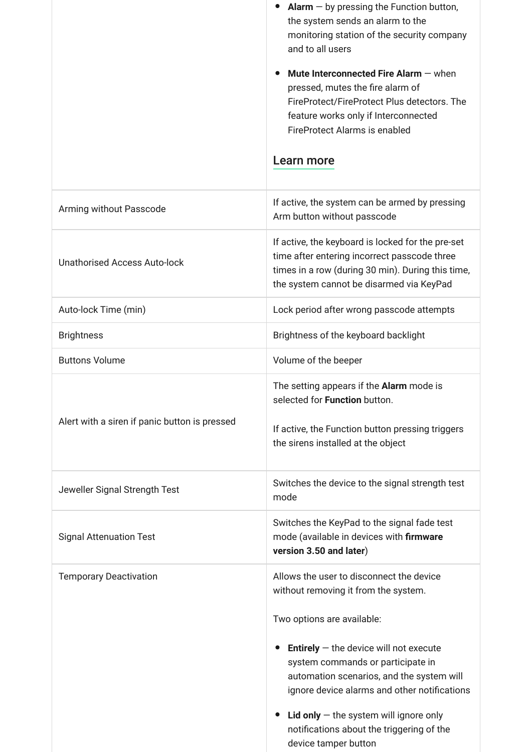|                                               | <b>Alarm</b> $-$ by pressing the Function button,<br>the system sends an alarm to the<br>monitoring station of the security company<br>and to all users<br>Mute Interconnected Fire Alarm $-$ when<br>pressed, mutes the fire alarm of<br>FireProtect/FireProtect Plus detectors. The<br>feature works only if Interconnected<br><b>FireProtect Alarms is enabled</b><br>Learn more          |
|-----------------------------------------------|----------------------------------------------------------------------------------------------------------------------------------------------------------------------------------------------------------------------------------------------------------------------------------------------------------------------------------------------------------------------------------------------|
| Arming without Passcode                       | If active, the system can be armed by pressing<br>Arm button without passcode                                                                                                                                                                                                                                                                                                                |
| <b>Unathorised Access Auto-lock</b>           | If active, the keyboard is locked for the pre-set<br>time after entering incorrect passcode three<br>times in a row (during 30 min). During this time,<br>the system cannot be disarmed via KeyPad                                                                                                                                                                                           |
| Auto-lock Time (min)                          | Lock period after wrong passcode attempts                                                                                                                                                                                                                                                                                                                                                    |
| <b>Brightness</b>                             | Brightness of the keyboard backlight                                                                                                                                                                                                                                                                                                                                                         |
| <b>Buttons Volume</b>                         | Volume of the beeper                                                                                                                                                                                                                                                                                                                                                                         |
| Alert with a siren if panic button is pressed | The setting appears if the Alarm mode is<br>selected for Function button.<br>If active, the Function button pressing triggers<br>the sirens installed at the object                                                                                                                                                                                                                          |
| Jeweller Signal Strength Test                 | Switches the device to the signal strength test<br>mode                                                                                                                                                                                                                                                                                                                                      |
| <b>Signal Attenuation Test</b>                | Switches the KeyPad to the signal fade test<br>mode (available in devices with firmware<br>version 3.50 and later)                                                                                                                                                                                                                                                                           |
| <b>Temporary Deactivation</b>                 | Allows the user to disconnect the device<br>without removing it from the system.<br>Two options are available:<br><b>Entirely</b> $-$ the device will not execute<br>system commands or participate in<br>automation scenarios, and the system will<br>ignore device alarms and other notifications<br>Lid only $-$ the system will ignore only<br>notifications about the triggering of the |

۰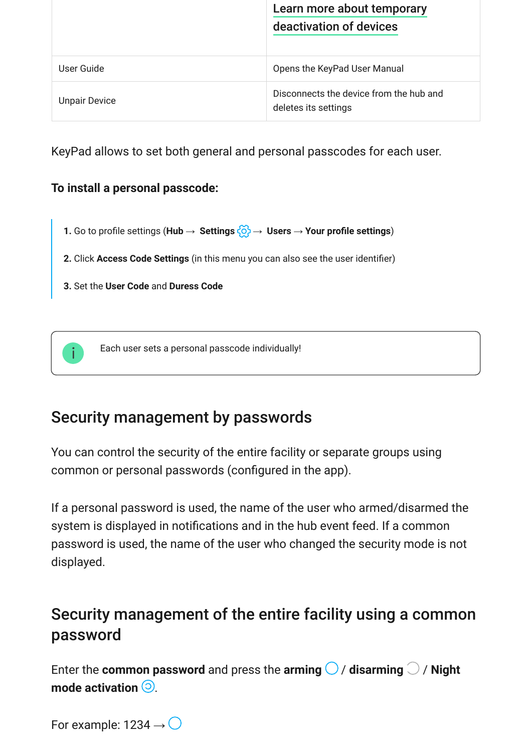|                      | Learn more about temporary                                      |
|----------------------|-----------------------------------------------------------------|
|                      | deactivation of devices                                         |
|                      |                                                                 |
| User Guide           | Opens the KeyPad User Manual                                    |
| <b>Unpair Device</b> | Disconnects the device from the hub and<br>deletes its settings |

KeyPad allows to set both general and personal passcodes for each user.

#### **To install a personal passcode:**

- **1.** Go to profile settings (**Hub** → **Settings**  $\{ \circ \}$  → **Users** → **Your profile settings**)
- **2.** Click **Access Code Settings** (in this menu you can also see the user identifier)
- **3.** Set the **User Code** and **Duress Code**



# Security management by passwords

You can control the security of the entire facility or separate groups using common or personal passwords (configured in the app).

If a personal password is used, the name of the user who armed/disarmed the system is displayed in notifications and in the hub event feed. If a common password is used, the name of the user who changed the security mode is not displayed.

# Security management of the entire facility using a common password

Enter the **common password** and press the **arming**  $\bigcirc$  / **disarming**  $\bigcirc$  / **Night mode activation**  $\odot$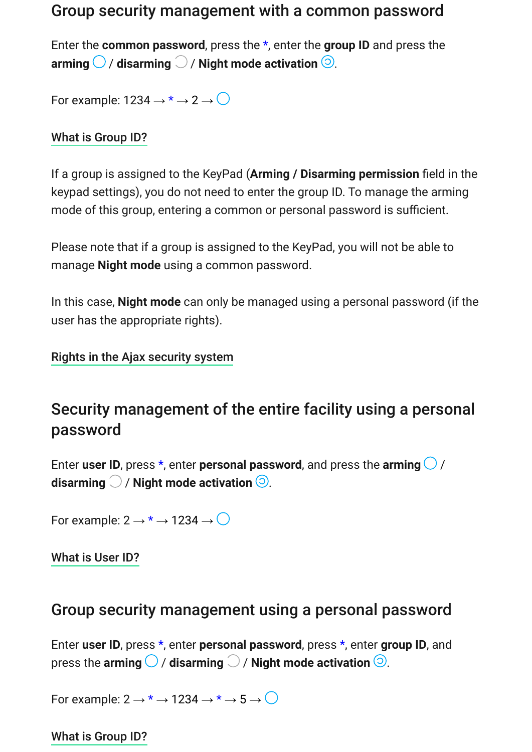#### Group security management with a common password

Enter the **common password**, press the \*, enter the **group ID** and press the **arming**  $\bigcirc$  / **disarming**  $\bigcirc$  / **Night mode activation**  $\bigcirc$ .

For example:  $1234 \rightarrow * \rightarrow 2 \rightarrow \bigcirc$ 

[What is Group ID?](https://support.ajax.systems/en/faqs/group-id/)

If a group is assigned to the KeyPad (**Arming / Disarming permission** field in the keypad settings), you do not need to enter the group ID. To manage the arming mode of this group, entering a common or personal password is sufficient.

Please note that if a group is assigned to the KeyPad, you will not be able to manage **Night mode** using a common password.

In this case, **Night mode** can only be managed using a personal password (if the user has the appropriate rights).

[Rights in the Ajax security system](https://support.ajax.systems/en/accounts-and-permissions/)

# Security management of the entire facility using a personal password

Enter user ID, press  $*$ , enter personal password, and press the arming  $\bigcirc$  / disarming  $\bigcirc$  / Night mode activation  $\bigcirc$ .

For example:  $2 \rightarrow^* \rightarrow 1234 \rightarrow$ 

[What is User ID?](https://support.ajax.systems/en/faqs/what-is-user-id/)

#### Group security management using a personal password

Enter **user ID**, press \*, enter **personal password**, press \*, enter **group ID**, and press the **arming**  $\bigcirc$  / **disarming**  $\bigcirc$  / **Night mode activation**  $\bigcirc$ .

For example:  $2 \rightarrow^* \rightarrow 1234 \rightarrow^* \rightarrow 5 \rightarrow$ 

[What is Group ID?](https://support.ajax.systems/en/faqs/group-id/)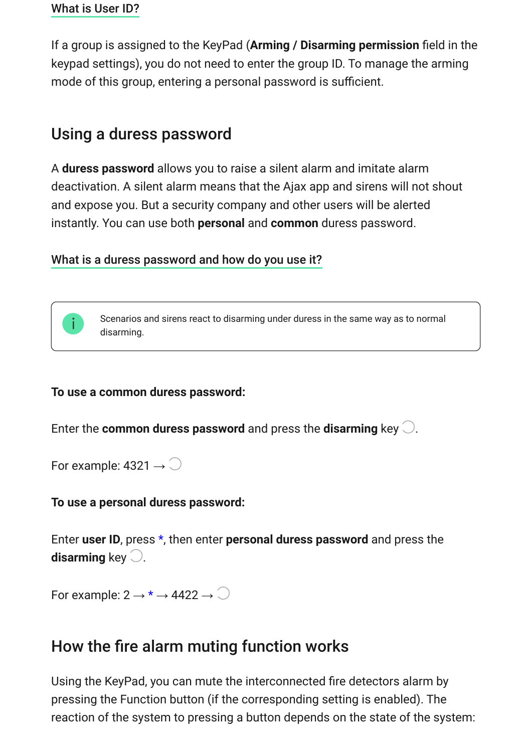If a group is assigned to the KeyPad (**Arming / Disarming permission** field in the keypad settings), you do not need to enter the group ID. To manage the arming mode of this group, entering a personal password is sufficient.

# Using a duress password

A **duress password** allows you to raise a silent alarm and imitate alarm deactivation. A silent alarm means that the Ajax app and sirens will not shout and expose you. But a security company and other users will be alerted instantly. You can use both **personal** and **common** duress password.

#### [What is a duress password and how do you use it?](https://support.ajax.systems/en/faqs/what-is-duress-code/)



#### **To use a common duress password:**

Enter the **common duress password** and press the **disarming** key  $\bigcirc$ .

For example: 4321  $\rightarrow$   $\bigcirc$ 

#### **To use a personal duress password:**

Enter **user ID**, press \*, then enter **personal duress password** and press the disarming key  $\bigcirc$ .

For example:  $2 \rightarrow^* \rightarrow 4422 \rightarrow$ 

#### <span id="page-11-0"></span>How the fire alarm muting function works

Using the KeyPad, you can mute the interconnected fire detectors alarm by pressing the Function button (if the corresponding setting is enabled). The reaction of the system to pressing a button depends on the state of the system: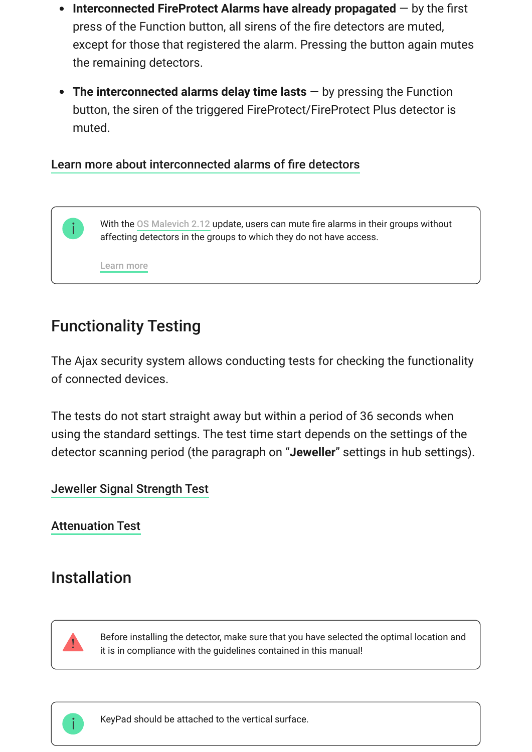- **Interconnected FireProtect Alarms have already propagated** by the first press of the Function button, all sirens of the fire detectors are muted, except for those that registered the alarm. Pressing the button again mutes the remaining detectors.
- **The interconnected alarms delay time lasts** by pressing the Function button, the siren of the triggered FireProtect/FireProtect Plus detector is muted.

#### [Learn more about interconnected alarms of fire detectors](https://support.ajax.systems/en/what-is-interconnected-fire-alarms/)

Withthe OS Malevich 2.12 update, users can mute fire alarms in their groups without affecting detectors in the groups to which they do not have access.

[Learn more](https://support.ajax.systems/en/residential-fire-alarms/)

# Functionality Testing

The Ajax security system allows conducting tests for checking the functionality of connected devices.

The tests do not start straight away but within a period of 36 seconds when using the standard settings. The test time start depends on the settings of the detector scanning period (the paragraph on "**Jeweller**" settings in hub settings).

#### [Jeweller Signal Strength Test](https://support.ajax.systems/en/what-is-signal-strenght-test/)

[Attenuation Test](https://support.ajax.systems/en/what-is-attenuation-test/)

### Installation



Before installing the detector, make sure that you have selected the optimal location and it is in compliance with the guidelines contained in this manual!



KeyPad should be attached to the vertical surface.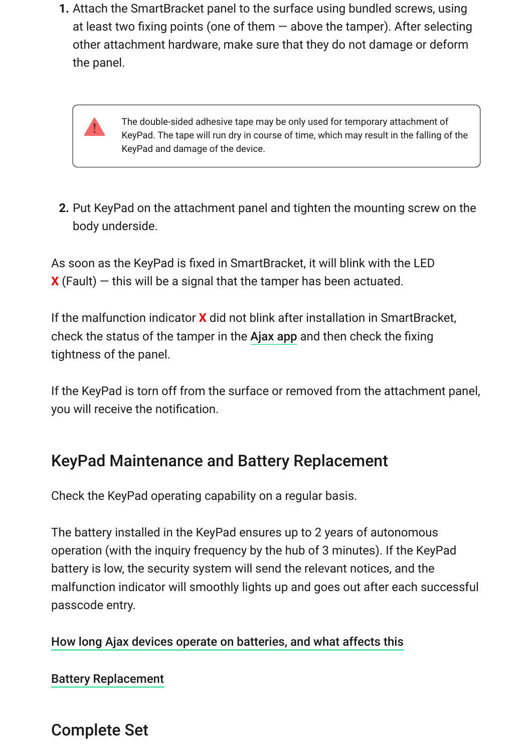**1.** Attach the SmartBracket panel to the surface using bundled screws, using at least two fixing points (one of them — above the tamper). After selecting other attachment hardware, make sure that they do not damage or deform the panel.

> The double-sided adhesive tape may be only used for temporary attachment of KeyPad. The tape will run dry in course of time, which may result in the falling of the KeyPad and damage of the device.

**2.** Put KeyPad on the attachment panel and tighten the mounting screw on the body underside.

As soon as the KeyPad is fixed in SmartBracket, it will blink with the LED  $\mathbf{\chi}$  (Fault) – this will be a signal that the tamper has been actuated.

If the malfunction indicator **X** did not blink after installation in SmartBracket, check the status of the tamper in the Ajax app and then check the fixing tightness of the panel.

If the KeyPad is torn off from the surface or removed from the attachment panel, you will receive the notification.

# KeyPad Maintenance and Battery Replacement

Check the KeyPad operating capability on a regular basis.

The battery installed in the KeyPad ensures up to 2 years of autonomous operation (with the inquiry frequency by the hub of 3 minutes). If the KeyPad battery is low, the security system will send the relevant notices, and the malfunction indicator will smoothly lights up and goes out after each successful passcode entry.

#### [How long Ajax devices operate on batteries, and what affects this](https://support.ajax.systems/en/how-long-operate-from-batteries/)

[Battery Replacement](https://support.ajax.systems/en/how-to-replace-batteries-in-keypad/)

Complete Set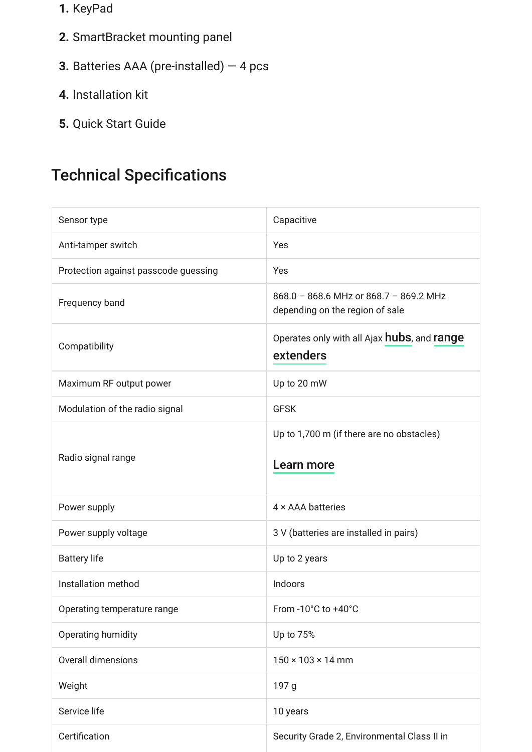- **1.** KeyPad
- **2.** SmartBracket mounting panel
- **3.** Batteries AAA (pre-installed) 4 pcs
- **4.** Installation kit
- **5.** Quick Start Guide

# Technical Specifications

| Sensor type                          | Capacitive                                                                |
|--------------------------------------|---------------------------------------------------------------------------|
| Anti-tamper switch                   | Yes                                                                       |
| Protection against passcode guessing | Yes                                                                       |
| Frequency band                       | 868.0 - 868.6 MHz or 868.7 - 869.2 MHz<br>depending on the region of sale |
| Compatibility                        | Operates only with all Ajax hubs, and range<br>extenders                  |
| Maximum RF output power              | Up to 20 mW                                                               |
| Modulation of the radio signal       | <b>GFSK</b>                                                               |
|                                      | Up to 1,700 m (if there are no obstacles)                                 |
| Radio signal range                   | <b>Learn more</b>                                                         |
| Power supply                         | 4 x AAA batteries                                                         |
| Power supply voltage                 | 3 V (batteries are installed in pairs)                                    |
| <b>Battery life</b>                  | Up to 2 years                                                             |
| Installation method                  | Indoors                                                                   |
| Operating temperature range          | From -10°C to +40°C                                                       |
| Operating humidity                   | Up to 75%                                                                 |
| Overall dimensions                   | $150 \times 103 \times 14$ mm                                             |
| Weight                               | 197 g                                                                     |
| Service life                         | 10 years                                                                  |
| Certification                        | Security Grade 2, Environmental Class II in                               |